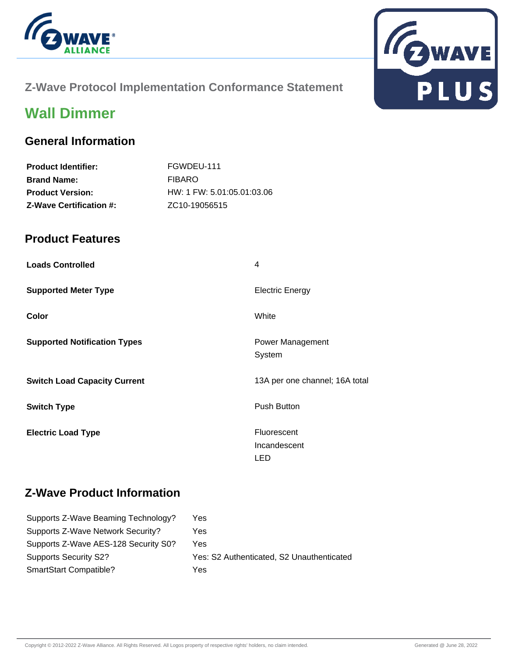



## **Z-Wave Protocol Implementation Conformance Statement**

# **Wall Dimmer**

### **General Information**

| <b>Product Identifier:</b>     | FGWDEU-111                 |
|--------------------------------|----------------------------|
| <b>Brand Name:</b>             | <b>FIBARO</b>              |
| <b>Product Version:</b>        | HW: 1 FW: 5.01:05.01:03.06 |
| <b>Z-Wave Certification #:</b> | ZC <sub>10</sub> -19056515 |

### **Product Features**

| <b>Loads Controlled</b>             | 4                                         |
|-------------------------------------|-------------------------------------------|
| <b>Supported Meter Type</b>         | <b>Electric Energy</b>                    |
| Color                               | White                                     |
| <b>Supported Notification Types</b> | Power Management<br>System                |
| <b>Switch Load Capacity Current</b> | 13A per one channel; 16A total            |
| <b>Switch Type</b>                  | <b>Push Button</b>                        |
| <b>Electric Load Type</b>           | <b>Fluorescent</b><br>Incandescent<br>LED |

## **Z-Wave Product Information**

| Yes                                       |
|-------------------------------------------|
| Yes                                       |
| Yes                                       |
| Yes: S2 Authenticated, S2 Unauthenticated |
| Yes                                       |
|                                           |